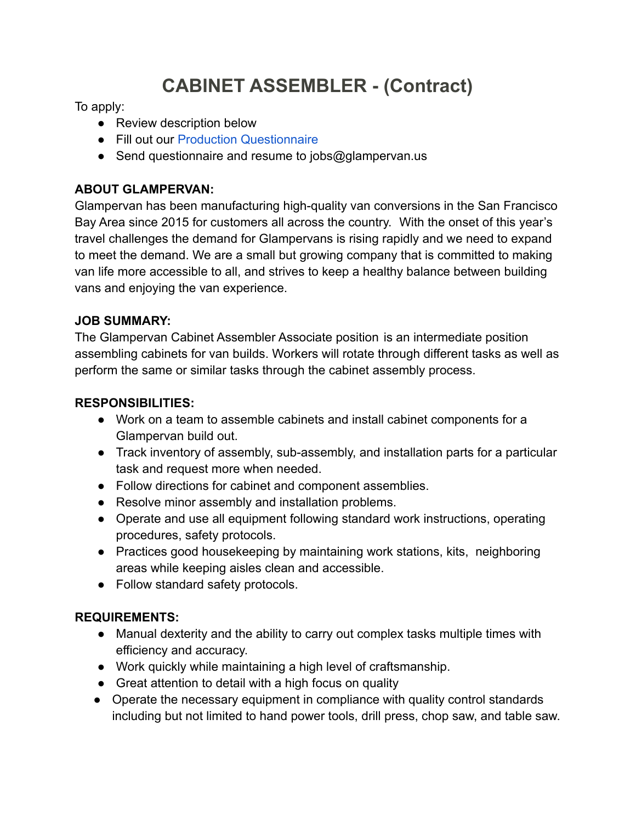# **CABINET ASSEMBLER - (Contract)**

To apply:

- Review description below
- Fill out our [Production Questionnaire](https://www.glampervan.us/jobs-questionaire)
- Send questionnaire and resume to jobs@glampervan.us

# **ABOUT GLAMPERVAN:**

Glampervan has been manufacturing high-quality van conversions in the San Francisco Bay Area since 2015 for customers all across the country. With the onset of this year's travel challenges the demand for Glampervans is rising rapidly and we need to expand to meet the demand. We are a small but growing company that is committed to making van life more accessible to all, and strives to keep a healthy balance between building vans and enjoying the van experience.

# **JOB SUMMARY:**

The Glampervan Cabinet Assembler Associate position is an intermediate position assembling cabinets for van builds. Workers will rotate through different tasks as well as perform the same or similar tasks through the cabinet assembly process.

## **RESPONSIBILITIES:**

- Work on a team to assemble cabinets and install cabinet components for a Glampervan build out.
- Track inventory of assembly, sub-assembly, and installation parts for a particular task and request more when needed.
- Follow directions for cabinet and component assemblies.
- Resolve minor assembly and installation problems.
- Operate and use all equipment following standard work instructions, operating procedures, safety protocols.
- Practices good housekeeping by maintaining work stations, kits, neighboring areas while keeping aisles clean and accessible.
- Follow standard safety protocols.

# **REQUIREMENTS:**

- Manual dexterity and the ability to carry out complex tasks multiple times with efficiency and accuracy.
- Work quickly while maintaining a high level of craftsmanship.
- Great attention to detail with a high focus on quality
- Operate the necessary equipment in compliance with quality control standards including but not limited to hand power tools, drill press, chop saw, and table saw.